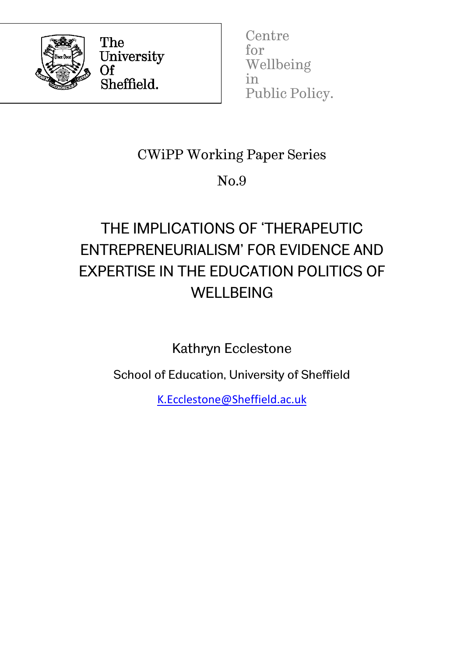

The University Of Sheffield.

**Centre** for Wellbeing in Public Policy.

## CWiPP Working Paper Series

## No.9

# THE IMPLICATIONS OF 'THERAPEUTIC ENTREPRENEURIALISM' FOR EVIDENCE AND EXPERTISE IN THE EDUCATION POLITICS OF **WELLBEING**

Kathryn Ecclestone

School of Education, University of Sheffield

[K.Ecclestone@Sheffield.ac.uk](file://SHAREDDATA03/SHARED3/EC_Share/ECN/Research/Projects/CWiPP/Working%20paper%20series/K.Ecclestone@Sheffield.ac.uk)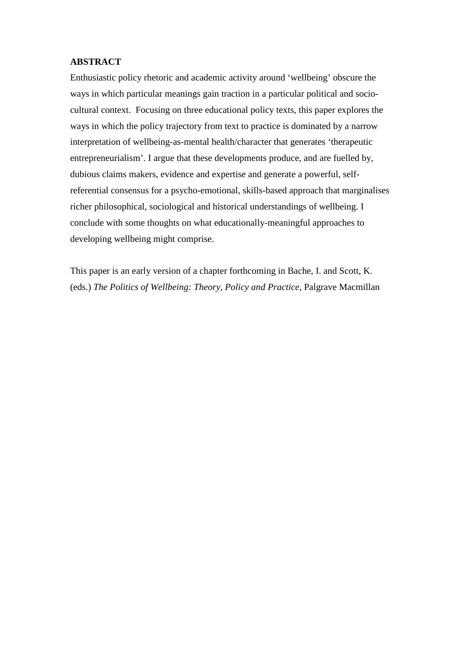#### **ABSTRACT**

Enthusiastic policy rhetoric and academic activity around 'wellbeing' obscure the ways in which particular meanings gain traction in a particular political and sociocultural context. Focusing on three educational policy texts, this paper explores the ways in which the policy trajectory from text to practice is dominated by a narrow interpretation of wellbeing-as-mental health/character that generates 'therapeutic entrepreneurialism'. I argue that these developments produce, and are fuelled by, dubious claims makers, evidence and expertise and generate a powerful, selfreferential consensus for a psycho-emotional, skills-based approach that marginalises richer philosophical, sociological and historical understandings of wellbeing. I conclude with some thoughts on what educationally-meaningful approaches to developing wellbeing might comprise.

This paper is an early version of a chapter forthcoming in Bache, I. and Scott, K. (eds.) *The Politics of Wellbeing: Theory, Policy and Practice*, Palgrave Macmillan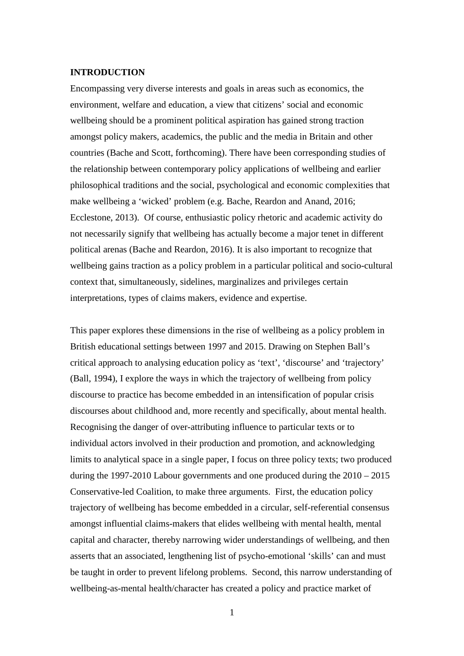#### **INTRODUCTION**

Encompassing very diverse interests and goals in areas such as economics, the environment, welfare and education, a view that citizens' social and economic wellbeing should be a prominent political aspiration has gained strong traction amongst policy makers, academics, the public and the media in Britain and other countries (Bache and Scott, forthcoming). There have been corresponding studies of the relationship between contemporary policy applications of wellbeing and earlier philosophical traditions and the social, psychological and economic complexities that make wellbeing a 'wicked' problem (e.g. Bache, Reardon and Anand, 2016; Ecclestone, 2013). Of course, enthusiastic policy rhetoric and academic activity do not necessarily signify that wellbeing has actually become a major tenet in different political arenas (Bache and Reardon, 2016). It is also important to recognize that wellbeing gains traction as a policy problem in a particular political and socio-cultural context that, simultaneously, sidelines, marginalizes and privileges certain interpretations, types of claims makers, evidence and expertise.

This paper explores these dimensions in the rise of wellbeing as a policy problem in British educational settings between 1997 and 2015. Drawing on Stephen Ball's critical approach to analysing education policy as 'text', 'discourse' and 'trajectory' (Ball, 1994), I explore the ways in which the trajectory of wellbeing from policy discourse to practice has become embedded in an intensification of popular crisis discourses about childhood and, more recently and specifically, about mental health. Recognising the danger of over-attributing influence to particular texts or to individual actors involved in their production and promotion, and acknowledging limits to analytical space in a single paper, I focus on three policy texts; two produced during the 1997-2010 Labour governments and one produced during the 2010 – 2015 Conservative-led Coalition, to make three arguments. First, the education policy trajectory of wellbeing has become embedded in a circular, self-referential consensus amongst influential claims-makers that elides wellbeing with mental health, mental capital and character, thereby narrowing wider understandings of wellbeing, and then asserts that an associated, lengthening list of psycho-emotional 'skills' can and must be taught in order to prevent lifelong problems. Second, this narrow understanding of wellbeing-as-mental health/character has created a policy and practice market of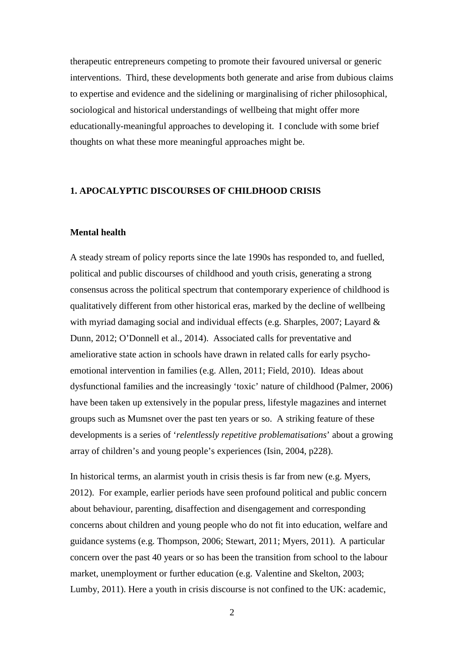therapeutic entrepreneurs competing to promote their favoured universal or generic interventions. Third, these developments both generate and arise from dubious claims to expertise and evidence and the sidelining or marginalising of richer philosophical, sociological and historical understandings of wellbeing that might offer more educationally-meaningful approaches to developing it. I conclude with some brief thoughts on what these more meaningful approaches might be.

#### **1. APOCALYPTIC DISCOURSES OF CHILDHOOD CRISIS**

#### **Mental health**

A steady stream of policy reports since the late 1990s has responded to, and fuelled, political and public discourses of childhood and youth crisis, generating a strong consensus across the political spectrum that contemporary experience of childhood is qualitatively different from other historical eras, marked by the decline of wellbeing with myriad damaging social and individual effects (e.g. Sharples, 2007; Layard & Dunn, 2012; O'Donnell et al., 2014). Associated calls for preventative and ameliorative state action in schools have drawn in related calls for early psychoemotional intervention in families (e.g. Allen, 2011; Field, 2010). Ideas about dysfunctional families and the increasingly 'toxic' nature of childhood (Palmer, 2006) have been taken up extensively in the popular press, lifestyle magazines and internet groups such as Mumsnet over the past ten years or so. A striking feature of these developments is a series of '*relentlessly repetitive problematisations*' about a growing array of children's and young people's experiences (Isin, 2004, p228).

In historical terms, an alarmist youth in crisis thesis is far from new (e.g. Myers, 2012). For example, earlier periods have seen profound political and public concern about behaviour, parenting, disaffection and disengagement and corresponding concerns about children and young people who do not fit into education, welfare and guidance systems (e.g. Thompson, 2006; Stewart, 2011; Myers, 2011). A particular concern over the past 40 years or so has been the transition from school to the labour market, unemployment or further education (e.g. Valentine and Skelton, 2003; Lumby, 2011). Here a youth in crisis discourse is not confined to the UK: academic,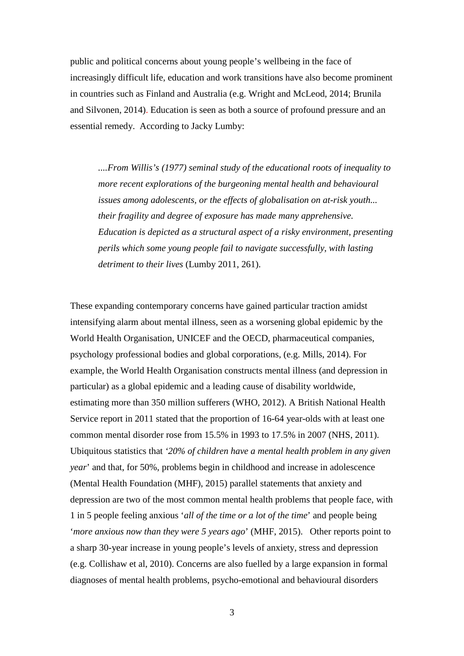public and political concerns about young people's wellbeing in the face of increasingly difficult life, education and work transitions have also become prominent in countries such as Finland and Australia (e.g. Wright and McLeod, 2014; Brunila and Silvonen, 2014). Education is seen as both a source of profound pressure and an essential remedy. According to Jacky Lumby:

*....From Willis's (1977) seminal study of the educational roots of inequality to more recent explorations of the burgeoning mental health and behavioural issues among adolescents, or the effects of globalisation on at-risk youth... their fragility and degree of exposure has made many apprehensive. Education is depicted as a structural aspect of a risky environment, presenting perils which some young people fail to navigate successfully, with lasting detriment to their lives* (Lumby 2011, 261).

These expanding contemporary concerns have gained particular traction amidst intensifying alarm about mental illness, seen as a worsening global epidemic by the World Health Organisation, UNICEF and the OECD, pharmaceutical companies, psychology professional bodies and global corporations, (e.g. Mills, 2014). For example, the World Health Organisation constructs mental illness (and depression in particular) as a global epidemic and a leading cause of disability worldwide, estimating more than 350 million sufferers (WHO, 2012). A British National Health Service report in 2011 stated that the proportion of 16-64 year-olds with at least one common mental disorder rose from 15.5% in 1993 to 17.5% in 2007 (NHS, 2011). Ubiquitous statistics that *'20% of children have a mental health problem in any given year*' and that, for 50%, problems begin in childhood and increase in adolescence (Mental Health Foundation (MHF), 2015) parallel statements that anxiety and depression are two of the most common mental health problems that people face, with 1 in 5 people feeling anxious '*all of the time or a lot of the time*' and people being '*more anxious now than they were 5 years ago*' (MHF, 2015). Other reports point to a sharp 30-year increase in young people's levels of anxiety, stress and depression (e.g. Collishaw et al, 2010). Concerns are also fuelled by a large expansion in formal diagnoses of mental health problems, psycho-emotional and behavioural disorders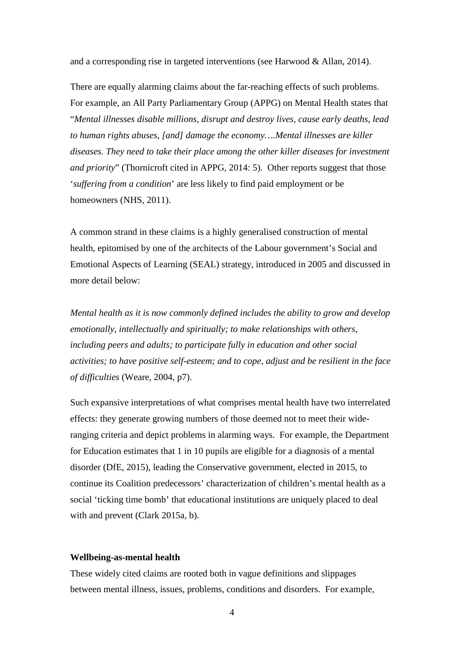and a corresponding rise in targeted interventions (see Harwood & Allan, 2014).

There are equally alarming claims about the far-reaching effects of such problems. For example, an All Party Parliamentary Group (APPG) on Mental Health states that "*Mental illnesses disable millions, disrupt and destroy lives, cause early deaths, lead to human rights abuses, [and] damage the economy….Mental illnesses are killer diseases. They need to take their place among the other killer diseases for investment and priority*" (Thornicroft cited in APPG, 2014: 5). Other reports suggest that those '*suffering from a condition*' are less likely to find paid employment or be homeowners (NHS, 2011).

A common strand in these claims is a highly generalised construction of mental health, epitomised by one of the architects of the Labour government's Social and Emotional Aspects of Learning (SEAL) strategy, introduced in 2005 and discussed in more detail below:

*Mental health as it is now commonly defined includes the ability to grow and develop emotionally, intellectually and spiritually; to make relationships with others, including peers and adults; to participate fully in education and other social activities; to have positive self-esteem; and to cope, adjust and be resilient in the face of difficulties* (Weare, 2004, p7).

Such expansive interpretations of what comprises mental health have two interrelated effects: they generate growing numbers of those deemed not to meet their wideranging criteria and depict problems in alarming ways. For example, the Department for Education estimates that 1 in 10 pupils are eligible for a diagnosis of a mental disorder (DfE, 2015), leading the Conservative government, elected in 2015, to continue its Coalition predecessors' characterization of children's mental health as a social 'ticking time bomb' that educational institutions are uniquely placed to deal with and prevent (Clark 2015a, b).

#### **Wellbeing-as-mental health**

These widely cited claims are rooted both in vague definitions and slippages between mental illness, issues, problems, conditions and disorders. For example,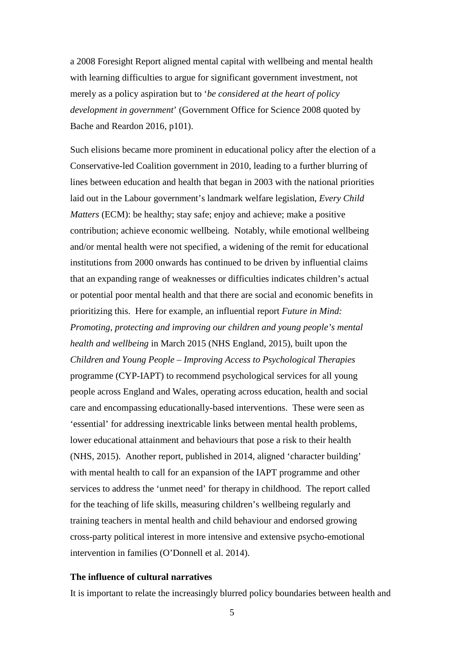a 2008 Foresight Report aligned mental capital with wellbeing and mental health with learning difficulties to argue for significant government investment, not merely as a policy aspiration but to '*be considered at the heart of policy development in government*' (Government Office for Science 2008 quoted by Bache and Reardon 2016, p101).

Such elisions became more prominent in educational policy after the election of a Conservative-led Coalition government in 2010, leading to a further blurring of lines between education and health that began in 2003 with the national priorities laid out in the Labour government's landmark welfare legislation, *Every Child Matters* (ECM): be healthy; stay safe; enjoy and achieve; make a positive contribution; achieve economic wellbeing. Notably, while emotional wellbeing and/or mental health were not specified, a widening of the remit for educational institutions from 2000 onwards has continued to be driven by influential claims that an expanding range of weaknesses or difficulties indicates children's actual or potential poor mental health and that there are social and economic benefits in prioritizing this. Here for example, an influential report *Future in Mind: Promoting, protecting and improving our children and young people's mental health and wellbeing* in March 2015 (NHS England, 2015), built upon the *Children and Young People – Improving Access to Psychological Therapies* programme (CYP-IAPT) to recommend psychological services for all young people across England and Wales, operating across education, health and social care and encompassing educationally-based interventions. These were seen as 'essential' for addressing inextricable links between mental health problems, lower educational attainment and behaviours that pose a risk to their health (NHS, 2015). Another report, published in 2014, aligned 'character building' with mental health to call for an expansion of the IAPT programme and other services to address the 'unmet need' for therapy in childhood. The report called for the teaching of life skills, measuring children's wellbeing regularly and training teachers in mental health and child behaviour and endorsed growing cross-party political interest in more intensive and extensive psycho-emotional intervention in families (O'Donnell et al. 2014).

#### **The influence of cultural narratives**

It is important to relate the increasingly blurred policy boundaries between health and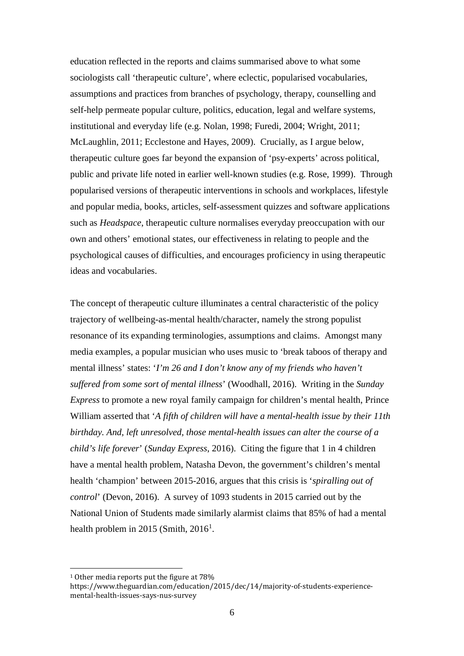education reflected in the reports and claims summarised above to what some sociologists call 'therapeutic culture', where eclectic, popularised vocabularies, assumptions and practices from branches of psychology, therapy, counselling and self-help permeate popular culture, politics, education, legal and welfare systems, institutional and everyday life (e.g. Nolan, 1998; Furedi, 2004; Wright, 2011; McLaughlin, 2011; Ecclestone and Hayes, 2009). Crucially, as I argue below, therapeutic culture goes far beyond the expansion of 'psy-experts' across political, public and private life noted in earlier well-known studies (e.g. Rose, 1999). Through popularised versions of therapeutic interventions in schools and workplaces, lifestyle and popular media, books, articles, self-assessment quizzes and software applications such as *Headspace*, therapeutic culture normalises everyday preoccupation with our own and others' emotional states, our effectiveness in relating to people and the psychological causes of difficulties, and encourages proficiency in using therapeutic ideas and vocabularies.

The concept of therapeutic culture illuminates a central characteristic of the policy trajectory of wellbeing-as-mental health/character, namely the strong populist resonance of its expanding terminologies, assumptions and claims. Amongst many media examples, a popular musician who uses music to 'break taboos of therapy and mental illness' states: '*I'm 26 and I don't know any of my friends who haven't suffered from some sort of mental illness*' (Woodhall, 2016). Writing in the *Sunday Express* to promote a new royal family campaign for children's mental health, Prince William asserted that '*A fifth of children will have a mental-health issue by their 11th birthday. And, left unresolved, those mental-health issues can alter the course of a child's life forever*' (*Sunday Express*, 2016). Citing the figure that 1 in 4 children have a mental health problem, Natasha Devon, the government's children's mental health 'champion' between 2015-2016, argues that this crisis is '*spiralling out of control*' (Devon, 2016). A survey of 1093 students in 2015 carried out by the National Union of Students made similarly alarmist claims that 85% of had a mental health problem in 20[1](#page-7-0)5 (Smith,  $2016<sup>1</sup>$ .

<span id="page-7-0"></span><sup>&</sup>lt;sup>1</sup> Other media reports put the figure at 78%

https://www.theguardian.com/education/2015/dec/14/majority-of-students-experiencemental-health-issues-says-nus-survey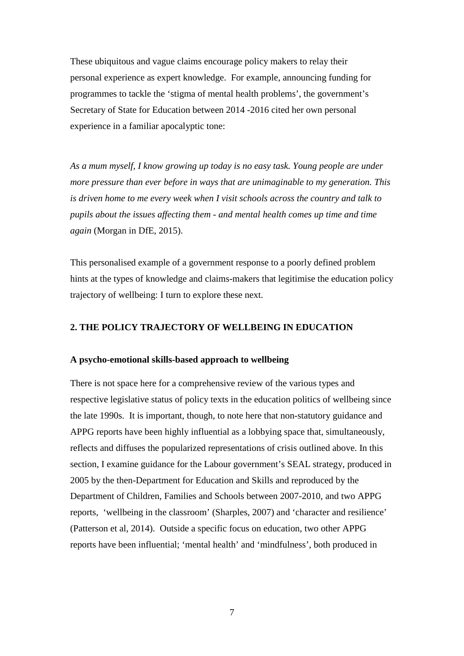These ubiquitous and vague claims encourage policy makers to relay their personal experience as expert knowledge. For example, announcing funding for programmes to tackle the 'stigma of mental health problems', the government's Secretary of State for Education between 2014 -2016 cited her own personal experience in a familiar apocalyptic tone:

*As a mum myself, I know growing up today is no easy task. Young people are under more pressure than ever before in ways that are unimaginable to my generation. This is driven home to me every week when I visit schools across the country and talk to pupils about the issues affecting them - and mental health comes up time and time again* (Morgan in DfE, 2015).

This personalised example of a government response to a poorly defined problem hints at the types of knowledge and claims-makers that legitimise the education policy trajectory of wellbeing: I turn to explore these next.

#### **2. THE POLICY TRAJECTORY OF WELLBEING IN EDUCATION**

#### **A psycho-emotional skills-based approach to wellbeing**

There is not space here for a comprehensive review of the various types and respective legislative status of policy texts in the education politics of wellbeing since the late 1990s. It is important, though, to note here that non-statutory guidance and APPG reports have been highly influential as a lobbying space that, simultaneously, reflects and diffuses the popularized representations of crisis outlined above. In this section, I examine guidance for the Labour government's SEAL strategy, produced in 2005 by the then-Department for Education and Skills and reproduced by the Department of Children, Families and Schools between 2007-2010, and two APPG reports, 'wellbeing in the classroom' (Sharples, 2007) and 'character and resilience' (Patterson et al, 2014). Outside a specific focus on education, two other APPG reports have been influential; 'mental health' and 'mindfulness', both produced in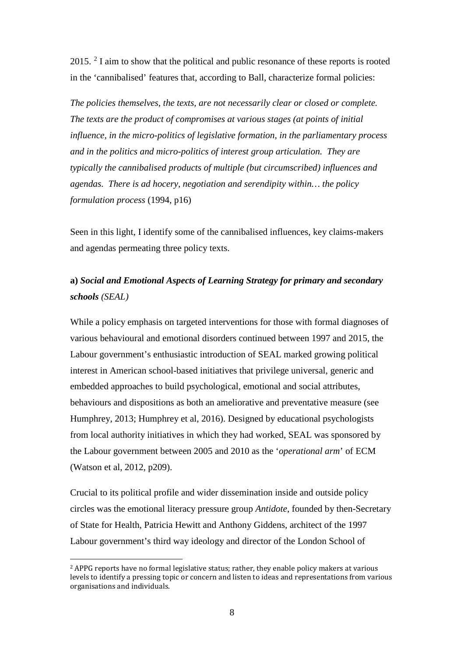2015. [2](#page-9-0) I aim to show that the political and public resonance of these reports is rooted in the 'cannibalised' features that, according to Ball, characterize formal policies:

*The policies themselves, the texts, are not necessarily clear or closed or complete. The texts are the product of compromises at various stages (at points of initial influence, in the micro-politics of legislative formation, in the parliamentary process and in the politics and micro-politics of interest group articulation. They are typically the cannibalised products of multiple (but circumscribed) influences and agendas. There is ad hocery, negotiation and serendipity within… the policy formulation process* (1994, p16)

Seen in this light, I identify some of the cannibalised influences, key claims-makers and agendas permeating three policy texts.

### **a)** *Social and Emotional Aspects of Learning Strategy for primary and secondary schools (SEAL)*

While a policy emphasis on targeted interventions for those with formal diagnoses of various behavioural and emotional disorders continued between 1997 and 2015, the Labour government's enthusiastic introduction of SEAL marked growing political interest in American school-based initiatives that privilege universal, generic and embedded approaches to build psychological, emotional and social attributes, behaviours and dispositions as both an ameliorative and preventative measure (see Humphrey, 2013; Humphrey et al, 2016). Designed by educational psychologists from local authority initiatives in which they had worked, SEAL was sponsored by the Labour government between 2005 and 2010 as the '*operational arm*' of ECM (Watson et al, 2012, p209).

Crucial to its political profile and wider dissemination inside and outside policy circles was the emotional literacy pressure group *Antidote*, founded by then-Secretary of State for Health, Patricia Hewitt and Anthony Giddens, architect of the 1997 Labour government's third way ideology and director of the London School of

<span id="page-9-0"></span><sup>&</sup>lt;sup>2</sup> APPG reports have no formal legislative status; rather, they enable policy makers at various levels to identify a pressing topic or concern and listen to ideas and representations from various organisations and individuals.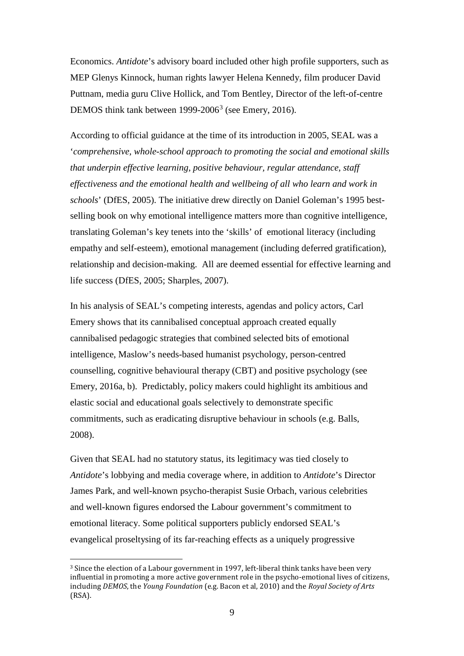Economics. *Antidote*'s advisory board included other high profile supporters, such as MEP Glenys Kinnock, human rights lawyer Helena Kennedy, film producer David Puttnam, media guru Clive Hollick, and Tom Bentley, Director of the left-of-centre DEMOS think tank between  $1999-2006<sup>3</sup>$  $1999-2006<sup>3</sup>$  $1999-2006<sup>3</sup>$  (see Emery, 2016).

According to official guidance at the time of its introduction in 2005, SEAL was a '*comprehensive, whole-school approach to promoting the social and emotional skills that underpin effective learning, positive behaviour, regular attendance, staff effectiveness and the emotional health and wellbeing of all who learn and work in schools*' (DfES, 2005). The initiative drew directly on Daniel Goleman's 1995 bestselling book on why emotional intelligence matters more than cognitive intelligence, translating Goleman's key tenets into the 'skills' of emotional literacy (including empathy and self-esteem), emotional management (including deferred gratification), relationship and decision-making. All are deemed essential for effective learning and life success (DfES, 2005; Sharples, 2007).

In his analysis of SEAL's competing interests, agendas and policy actors, Carl Emery shows that its cannibalised conceptual approach created equally cannibalised pedagogic strategies that combined selected bits of emotional intelligence, Maslow's needs-based humanist psychology, person-centred counselling, cognitive behavioural therapy (CBT) and positive psychology (see Emery, 2016a, b). Predictably, policy makers could highlight its ambitious and elastic social and educational goals selectively to demonstrate specific commitments, such as eradicating disruptive behaviour in schools (e.g. Balls, 2008).

Given that SEAL had no statutory status, its legitimacy was tied closely to *Antidote*'s lobbying and media coverage where, in addition to *Antidote*'s Director James Park, and well-known psycho-therapist Susie Orbach, various celebrities and well-known figures endorsed the Labour government's commitment to emotional literacy. Some political supporters publicly endorsed SEAL's evangelical proseltysing of its far-reaching effects as a uniquely progressive

<span id="page-10-0"></span> <sup>3</sup> Since the election of a Labour government in 1997, left-liberal think tanks have been very influential in promoting a more active government role in the psycho-emotional lives of citizens, including *DEMOS*, the *Young Foundation* (e.g. Bacon et al, 2010) and the *Royal Society of Arts* (RSA).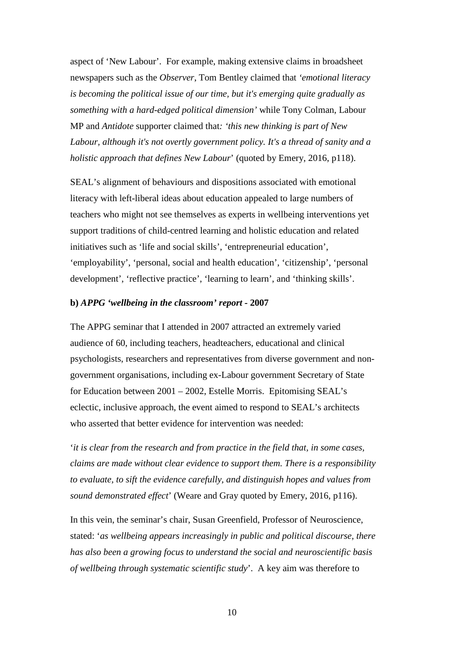aspect of 'New Labour'. For example, making extensive claims in broadsheet newspapers such as the *Observer*, Tom Bentley claimed that *'emotional literacy is becoming the political issue of our time, but it's emerging quite gradually as something with a hard-edged political dimension'* while Tony Colman, Labour MP and *Antidote* supporter claimed that*: 'this new thinking is part of New Labour, although it's not overtly government policy. It's a thread of sanity and a holistic approach that defines New Labour*' (quoted by Emery, 2016, p118).

SEAL's alignment of behaviours and dispositions associated with emotional literacy with left-liberal ideas about education appealed to large numbers of teachers who might not see themselves as experts in wellbeing interventions yet support traditions of child-centred learning and holistic education and related initiatives such as 'life and social skills', 'entrepreneurial education', 'employability', 'personal, social and health education', 'citizenship', 'personal development', 'reflective practice', 'learning to learn', and 'thinking skills'.

#### **b)** *APPG 'wellbeing in the classroom' report -* **2007**

The APPG seminar that I attended in 2007 attracted an extremely varied audience of 60, including teachers, headteachers, educational and clinical psychologists, researchers and representatives from diverse government and nongovernment organisations, including ex-Labour government Secretary of State for Education between 2001 – 2002, Estelle Morris. Epitomising SEAL's eclectic, inclusive approach, the event aimed to respond to SEAL's architects who asserted that better evidence for intervention was needed:

'*it is clear from the research and from practice in the field that, in some cases, claims are made without clear evidence to support them. There is a responsibility to evaluate, to sift the evidence carefully, and distinguish hopes and values from sound demonstrated effect*' (Weare and Gray quoted by Emery, 2016, p116).

In this vein, the seminar's chair, Susan Greenfield, Professor of Neuroscience, stated: '*as wellbeing appears increasingly in public and political discourse, there has also been a growing focus to understand the social and neuroscientific basis of wellbeing through systematic scientific study*'. A key aim was therefore to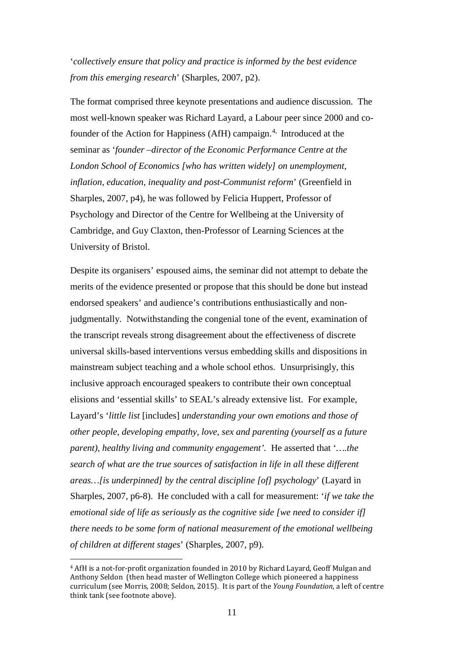'*collectively ensure that policy and practice is informed by the best evidence from this emerging research*' (Sharples, 2007, p2).

The format comprised three keynote presentations and audience discussion. The most well-known speaker was Richard Layard, a Labour peer since 2000 and co-founder of the Action for Happiness (AfH) campaign.<sup>[4](#page-12-0),</sup> Introduced at the seminar as '*founder –director of the Economic Performance Centre at the London School of Economics [who has written widely] on unemployment, inflation, education, inequality and post-Communist reform*' (Greenfield in Sharples, 2007, p4), he was followed by Felicia Huppert, Professor of Psychology and Director of the Centre for Wellbeing at the University of Cambridge, and Guy Claxton, then-Professor of Learning Sciences at the University of Bristol.

Despite its organisers' espoused aims, the seminar did not attempt to debate the merits of the evidence presented or propose that this should be done but instead endorsed speakers' and audience's contributions enthusiastically and nonjudgmentally. Notwithstanding the congenial tone of the event, examination of the transcript reveals strong disagreement about the effectiveness of discrete universal skills-based interventions versus embedding skills and dispositions in mainstream subject teaching and a whole school ethos. Unsurprisingly, this inclusive approach encouraged speakers to contribute their own conceptual elisions and 'essential skills' to SEAL's already extensive list. For example, Layard's '*little list* [includes] *understanding your own emotions and those of other people, developing empathy, love, sex and parenting (yourself as a future parent), healthy living and community engagement'.* He asserted that '*….the search of what are the true sources of satisfaction in life in all these different areas…[is underpinned] by the central discipline [of] psychology*' (Layard in Sharples, 2007, p6-8). He concluded with a call for measurement: '*if we take the emotional side of life as seriously as the cognitive side [we need to consider if] there needs to be some form of national measurement of the emotional wellbeing of children at different stages*' (Sharples, 2007, p9).

<span id="page-12-0"></span> <sup>4</sup> AfH is a not-for-profit organization founded in 2010 by Richard Layard, Geoff Mulgan and Anthony Seldon (then head master of Wellington College which pioneered a happiness curriculum (see Morris, 2008; Seldon, 2015). It is part of the *Young Foundation*, a left of centre think tank (see footnote above).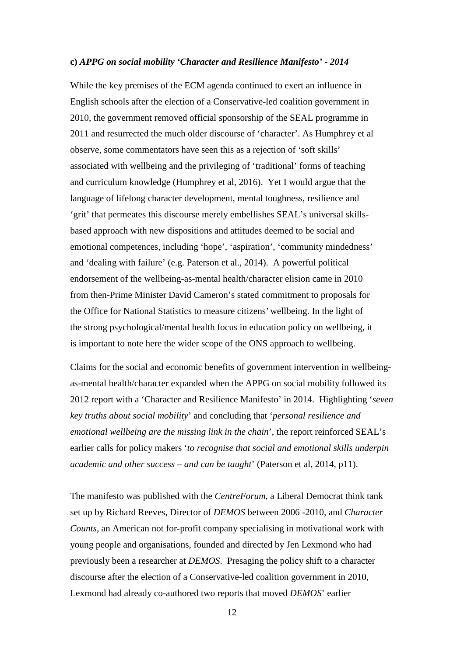#### **c)** *APPG on social mobility 'Character and Resilience Manifesto' - 2014*

While the key premises of the ECM agenda continued to exert an influence in English schools after the election of a Conservative-led coalition government in 2010, the government removed official sponsorship of the SEAL programme in 2011 and resurrected the much older discourse of 'character'. As Humphrey et al observe, some commentators have seen this as a rejection of 'soft skills' associated with wellbeing and the privileging of 'traditional' forms of teaching and curriculum knowledge (Humphrey et al, 2016). Yet I would argue that the language of lifelong character development, mental toughness, resilience and 'grit' that permeates this discourse merely embellishes SEAL's universal skillsbased approach with new dispositions and attitudes deemed to be social and emotional competences, including 'hope', 'aspiration', 'community mindedness' and 'dealing with failure' (e.g. Paterson et al., 2014). A powerful political endorsement of the wellbeing-as-mental health/character elision came in 2010 from then-Prime Minister David Cameron's stated commitment to proposals for the Office for National Statistics to measure citizens' wellbeing. In the light of the strong psychological/mental health focus in education policy on wellbeing, it is important to note here the wider scope of the ONS approach to wellbeing.

Claims for the social and economic benefits of government intervention in wellbeingas-mental health/character expanded when the APPG on social mobility followed its 2012 report with a 'Character and Resilience Manifesto' in 2014. Highlighting '*seven key truths about social mobility*' and concluding that '*personal resilience and emotional wellbeing are the missing link in the chain*', the report reinforced SEAL's earlier calls for policy makers '*to recognise that social and emotional skills underpin academic and other success – and can be taught*' (Paterson et al, 2014, p11).

The manifesto was published with the *CentreForum*, a Liberal Democrat think tank set up by Richard Reeves, Director of *DEMOS* between 2006 -2010, and *Character Counts*, an American not for-profit company specialising in motivational work with young people and organisations, founded and directed by Jen Lexmond who had previously been a researcher at *DEMOS*. Presaging the policy shift to a character discourse after the election of a Conservative-led coalition government in 2010, Lexmond had already co-authored two reports that moved *DEMOS*' earlier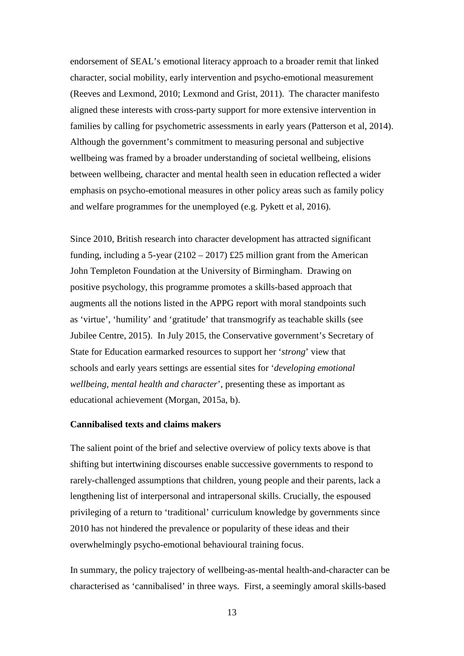endorsement of SEAL's emotional literacy approach to a broader remit that linked character, social mobility, early intervention and psycho-emotional measurement (Reeves and Lexmond, 2010; Lexmond and Grist, 2011). The character manifesto aligned these interests with cross-party support for more extensive intervention in families by calling for psychometric assessments in early years (Patterson et al, 2014). Although the government's commitment to measuring personal and subjective wellbeing was framed by a broader understanding of societal wellbeing, elisions between wellbeing, character and mental health seen in education reflected a wider emphasis on psycho-emotional measures in other policy areas such as family policy and welfare programmes for the unemployed (e.g. Pykett et al, 2016).

Since 2010, British research into character development has attracted significant funding, including a 5-year  $(2102 – 2017)$  £25 million grant from the American John Templeton Foundation at the University of Birmingham. Drawing on positive psychology, this programme promotes a skills-based approach that augments all the notions listed in the APPG report with moral standpoints such as 'virtue', 'humility' and 'gratitude' that transmogrify as teachable skills (see Jubilee Centre, 2015). In July 2015, the Conservative government's Secretary of State for Education earmarked resources to support her '*strong*' view that schools and early years settings are essential sites for '*developing emotional wellbeing, mental health and character*', presenting these as important as educational achievement (Morgan, 2015a, b).

#### **Cannibalised texts and claims makers**

The salient point of the brief and selective overview of policy texts above is that shifting but intertwining discourses enable successive governments to respond to rarely-challenged assumptions that children, young people and their parents, lack a lengthening list of interpersonal and intrapersonal skills. Crucially, the espoused privileging of a return to 'traditional' curriculum knowledge by governments since 2010 has not hindered the prevalence or popularity of these ideas and their overwhelmingly psycho-emotional behavioural training focus.

In summary, the policy trajectory of wellbeing-as-mental health-and-character can be characterised as 'cannibalised' in three ways. First, a seemingly amoral skills-based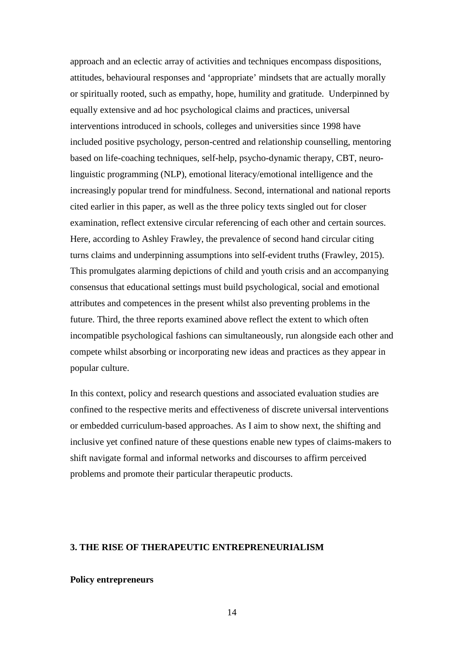approach and an eclectic array of activities and techniques encompass dispositions, attitudes, behavioural responses and 'appropriate' mindsets that are actually morally or spiritually rooted, such as empathy, hope, humility and gratitude. Underpinned by equally extensive and ad hoc psychological claims and practices, universal interventions introduced in schools, colleges and universities since 1998 have included positive psychology, person-centred and relationship counselling, mentoring based on life-coaching techniques, self-help, psycho-dynamic therapy, CBT, neurolinguistic programming (NLP), emotional literacy/emotional intelligence and the increasingly popular trend for mindfulness. Second, international and national reports cited earlier in this paper, as well as the three policy texts singled out for closer examination, reflect extensive circular referencing of each other and certain sources. Here, according to Ashley Frawley, the prevalence of second hand circular citing turns claims and underpinning assumptions into self-evident truths (Frawley, 2015). This promulgates alarming depictions of child and youth crisis and an accompanying consensus that educational settings must build psychological, social and emotional attributes and competences in the present whilst also preventing problems in the future. Third, the three reports examined above reflect the extent to which often incompatible psychological fashions can simultaneously, run alongside each other and compete whilst absorbing or incorporating new ideas and practices as they appear in popular culture.

In this context, policy and research questions and associated evaluation studies are confined to the respective merits and effectiveness of discrete universal interventions or embedded curriculum-based approaches. As I aim to show next, the shifting and inclusive yet confined nature of these questions enable new types of claims-makers to shift navigate formal and informal networks and discourses to affirm perceived problems and promote their particular therapeutic products.

#### **3. THE RISE OF THERAPEUTIC ENTREPRENEURIALISM**

#### **Policy entrepreneurs**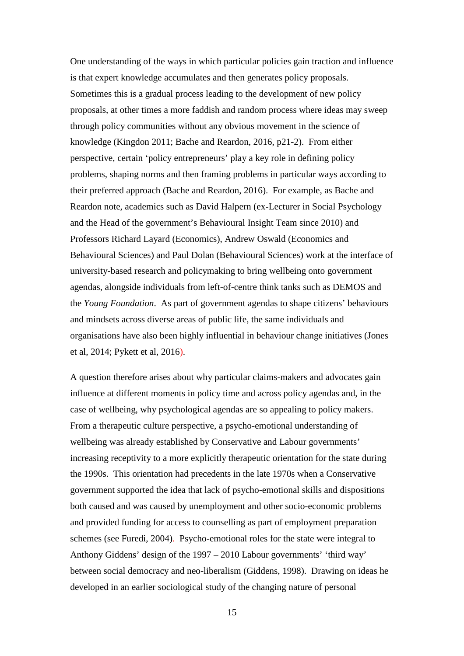One understanding of the ways in which particular policies gain traction and influence is that expert knowledge accumulates and then generates policy proposals. Sometimes this is a gradual process leading to the development of new policy proposals, at other times a more faddish and random process where ideas may sweep through policy communities without any obvious movement in the science of knowledge (Kingdon 2011; Bache and Reardon, 2016, p21-2). From either perspective, certain 'policy entrepreneurs' play a key role in defining policy problems, shaping norms and then framing problems in particular ways according to their preferred approach (Bache and Reardon, 2016). For example, as Bache and Reardon note, academics such as David Halpern (ex-Lecturer in Social Psychology and the Head of the government's Behavioural Insight Team since 2010) and Professors Richard Layard (Economics), Andrew Oswald (Economics and Behavioural Sciences) and Paul Dolan (Behavioural Sciences) work at the interface of university-based research and policymaking to bring wellbeing onto government agendas, alongside individuals from left-of-centre think tanks such as DEMOS and the *Young Foundation*. As part of government agendas to shape citizens' behaviours and mindsets across diverse areas of public life, the same individuals and organisations have also been highly influential in behaviour change initiatives (Jones et al, 2014; Pykett et al, 2016).

A question therefore arises about why particular claims-makers and advocates gain influence at different moments in policy time and across policy agendas and, in the case of wellbeing, why psychological agendas are so appealing to policy makers. From a therapeutic culture perspective, a psycho-emotional understanding of wellbeing was already established by Conservative and Labour governments' increasing receptivity to a more explicitly therapeutic orientation for the state during the 1990s. This orientation had precedents in the late 1970s when a Conservative government supported the idea that lack of psycho-emotional skills and dispositions both caused and was caused by unemployment and other socio-economic problems and provided funding for access to counselling as part of employment preparation schemes (see Furedi, 2004). Psycho-emotional roles for the state were integral to Anthony Giddens' design of the 1997 – 2010 Labour governments' 'third way' between social democracy and neo-liberalism (Giddens, 1998). Drawing on ideas he developed in an earlier sociological study of the changing nature of personal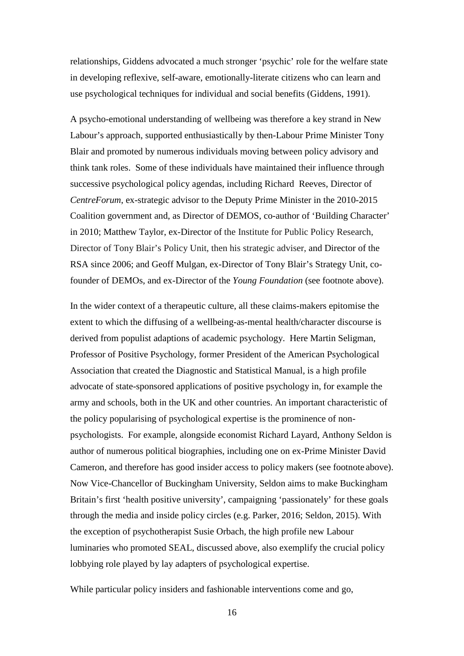relationships, Giddens advocated a much stronger 'psychic' role for the welfare state in developing reflexive, self-aware, emotionally-literate citizens who can learn and use psychological techniques for individual and social benefits (Giddens, 1991).

A psycho-emotional understanding of wellbeing was therefore a key strand in New Labour's approach, supported enthusiastically by then-Labour Prime Minister Tony Blair and promoted by numerous individuals moving between policy advisory and think tank roles. Some of these individuals have maintained their influence through successive psychological policy agendas, including Richard Reeves, Director of *CentreForum*, ex-strategic advisor to the Deputy Prime Minister in the 2010-2015 Coalition government and, as Director of DEMOS, co-author of 'Building Character' in 2010; Matthew Taylor, ex-Director of the Institute for Public Policy Research, Director of Tony Blair's Policy Unit, then his strategic adviser, and Director of the RSA since 2006; and Geoff Mulgan, ex-Director of Tony Blair's Strategy Unit, cofounder of DEMOs, and ex-Director of the *Young Foundation* (see footnote above).

In the wider context of a therapeutic culture, all these claims-makers epitomise the extent to which the diffusing of a wellbeing-as-mental health/character discourse is derived from populist adaptions of academic psychology. Here Martin Seligman, Professor of Positive Psychology, former President of the American Psychological Association that created the Diagnostic and Statistical Manual, is a high profile advocate of state-sponsored applications of positive psychology in, for example the army and schools, both in the UK and other countries. An important characteristic of the policy popularising of psychological expertise is the prominence of nonpsychologists. For example, alongside economist Richard Layard, Anthony Seldon is author of numerous political biographies, including one on ex-Prime Minister David Cameron, and therefore has good insider access to policy makers (see footnote above). Now Vice-Chancellor of Buckingham University, Seldon aims to make Buckingham Britain's first 'health positive university', campaigning 'passionately' for these goals through the media and inside policy circles (e.g. Parker, 2016; Seldon, 2015). With the exception of psychotherapist Susie Orbach, the high profile new Labour luminaries who promoted SEAL, discussed above, also exemplify the crucial policy lobbying role played by lay adapters of psychological expertise.

While particular policy insiders and fashionable interventions come and go,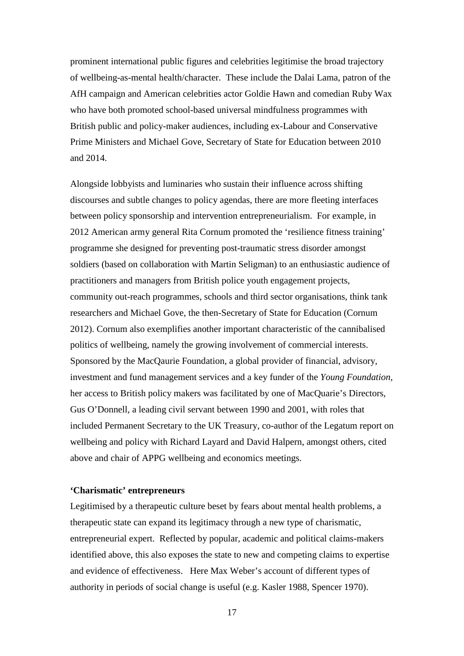prominent international public figures and celebrities legitimise the broad trajectory of wellbeing-as-mental health/character. These include the Dalai Lama, patron of the AfH campaign and American celebrities actor Goldie Hawn and comedian Ruby Wax who have both promoted school-based universal mindfulness programmes with British public and policy-maker audiences, including ex-Labour and Conservative Prime Ministers and Michael Gove, Secretary of State for Education between 2010 and 2014.

Alongside lobbyists and luminaries who sustain their influence across shifting discourses and subtle changes to policy agendas, there are more fleeting interfaces between policy sponsorship and intervention entrepreneurialism. For example, in 2012 American army general Rita Cornum promoted the 'resilience fitness training' programme she designed for preventing post-traumatic stress disorder amongst soldiers (based on collaboration with Martin Seligman) to an enthusiastic audience of practitioners and managers from British police youth engagement projects, community out-reach programmes, schools and third sector organisations, think tank researchers and Michael Gove, the then-Secretary of State for Education (Cornum 2012). Cornum also exemplifies another important characteristic of the cannibalised politics of wellbeing, namely the growing involvement of commercial interests. Sponsored by the MacQaurie Foundation, a global provider of financial, advisory, investment and fund management services and a key funder of the *Young Foundation*, her access to British policy makers was facilitated by one of MacQuarie's Directors, Gus O'Donnell, a leading civil servant between 1990 and 2001, with roles that included Permanent Secretary to the UK Treasury, co-author of the Legatum report on wellbeing and policy with Richard Layard and David Halpern, amongst others, cited above and chair of APPG wellbeing and economics meetings.

#### **'Charismatic' entrepreneurs**

Legitimised by a therapeutic culture beset by fears about mental health problems, a therapeutic state can expand its legitimacy through a new type of charismatic, entrepreneurial expert. Reflected by popular, academic and political claims-makers identified above, this also exposes the state to new and competing claims to expertise and evidence of effectiveness. Here Max Weber's account of different types of authority in periods of social change is useful (e.g. Kasler 1988, Spencer 1970).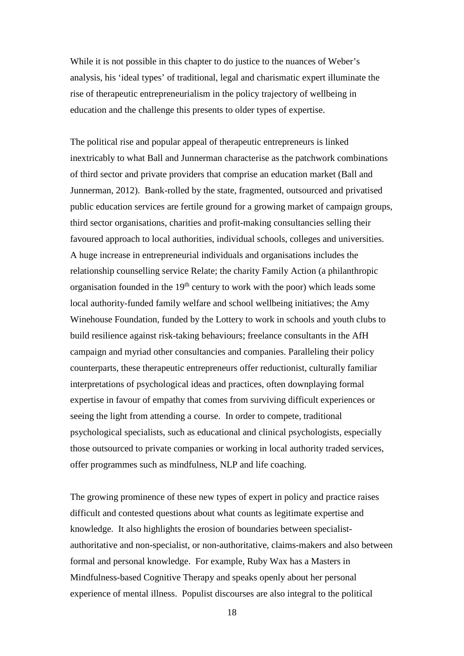While it is not possible in this chapter to do justice to the nuances of Weber's analysis, his 'ideal types' of traditional, legal and charismatic expert illuminate the rise of therapeutic entrepreneurialism in the policy trajectory of wellbeing in education and the challenge this presents to older types of expertise.

The political rise and popular appeal of therapeutic entrepreneurs is linked inextricably to what Ball and Junnerman characterise as the patchwork combinations of third sector and private providers that comprise an education market (Ball and Junnerman, 2012). Bank-rolled by the state, fragmented, outsourced and privatised public education services are fertile ground for a growing market of campaign groups, third sector organisations, charities and profit-making consultancies selling their favoured approach to local authorities, individual schools, colleges and universities. A huge increase in entrepreneurial individuals and organisations includes the relationship counselling service Relate; the charity Family Action (a philanthropic organisation founded in the  $19<sup>th</sup>$  century to work with the poor) which leads some local authority-funded family welfare and school wellbeing initiatives; the Amy Winehouse Foundation, funded by the Lottery to work in schools and youth clubs to build resilience against risk-taking behaviours; freelance consultants in the AfH campaign and myriad other consultancies and companies. Paralleling their policy counterparts, these therapeutic entrepreneurs offer reductionist, culturally familiar interpretations of psychological ideas and practices, often downplaying formal expertise in favour of empathy that comes from surviving difficult experiences or seeing the light from attending a course. In order to compete, traditional psychological specialists, such as educational and clinical psychologists, especially those outsourced to private companies or working in local authority traded services, offer programmes such as mindfulness, NLP and life coaching.

The growing prominence of these new types of expert in policy and practice raises difficult and contested questions about what counts as legitimate expertise and knowledge. It also highlights the erosion of boundaries between specialistauthoritative and non-specialist, or non-authoritative, claims-makers and also between formal and personal knowledge. For example, Ruby Wax has a Masters in Mindfulness-based Cognitive Therapy and speaks openly about her personal experience of mental illness. Populist discourses are also integral to the political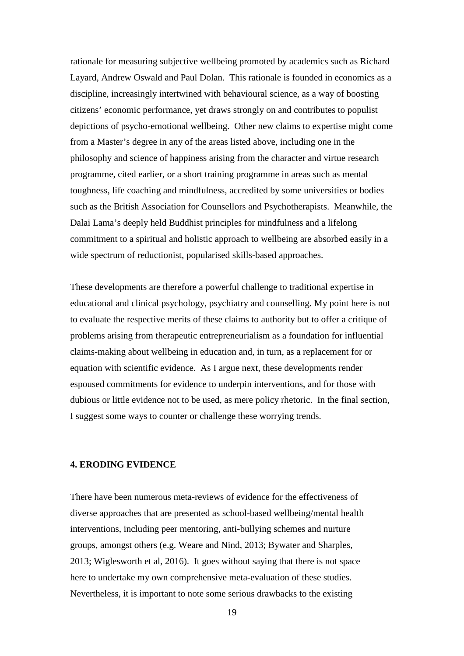rationale for measuring subjective wellbeing promoted by academics such as Richard Layard, Andrew Oswald and Paul Dolan. This rationale is founded in economics as a discipline, increasingly intertwined with behavioural science, as a way of boosting citizens' economic performance, yet draws strongly on and contributes to populist depictions of psycho-emotional wellbeing. Other new claims to expertise might come from a Master's degree in any of the areas listed above, including one in the philosophy and science of happiness arising from the character and virtue research programme, cited earlier, or a short training programme in areas such as mental toughness, life coaching and mindfulness, accredited by some universities or bodies such as the British Association for Counsellors and Psychotherapists. Meanwhile, the Dalai Lama's deeply held Buddhist principles for mindfulness and a lifelong commitment to a spiritual and holistic approach to wellbeing are absorbed easily in a wide spectrum of reductionist, popularised skills-based approaches.

These developments are therefore a powerful challenge to traditional expertise in educational and clinical psychology, psychiatry and counselling. My point here is not to evaluate the respective merits of these claims to authority but to offer a critique of problems arising from therapeutic entrepreneurialism as a foundation for influential claims-making about wellbeing in education and, in turn, as a replacement for or equation with scientific evidence. As I argue next, these developments render espoused commitments for evidence to underpin interventions, and for those with dubious or little evidence not to be used, as mere policy rhetoric. In the final section, I suggest some ways to counter or challenge these worrying trends.

#### **4. ERODING EVIDENCE**

There have been numerous meta-reviews of evidence for the effectiveness of diverse approaches that are presented as school-based wellbeing/mental health interventions, including peer mentoring, anti-bullying schemes and nurture groups, amongst others (e.g. Weare and Nind, 2013; Bywater and Sharples, 2013; Wiglesworth et al, 2016). It goes without saying that there is not space here to undertake my own comprehensive meta-evaluation of these studies. Nevertheless, it is important to note some serious drawbacks to the existing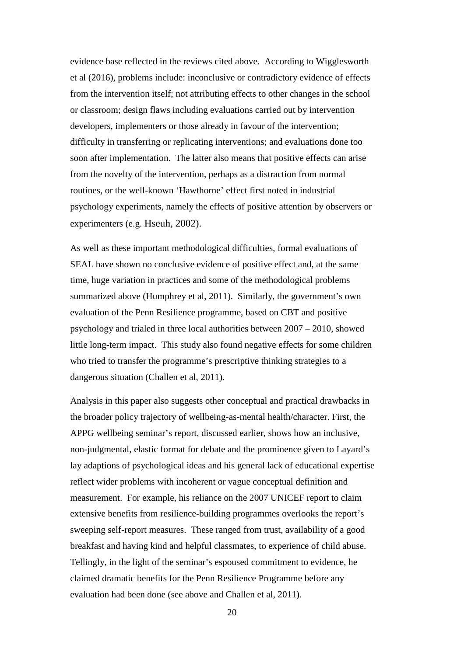evidence base reflected in the reviews cited above. According to Wigglesworth et al (2016), problems include: inconclusive or contradictory evidence of effects from the intervention itself; not attributing effects to other changes in the school or classroom; design flaws including evaluations carried out by intervention developers, implementers or those already in favour of the intervention; difficulty in transferring or replicating interventions; and evaluations done too soon after implementation. The latter also means that positive effects can arise from the novelty of the intervention, perhaps as a distraction from normal routines, or the well-known 'Hawthorne' effect first noted in industrial psychology experiments, namely the effects of positive attention by observers or experimenters (e.g. Hseuh, 2002).

As well as these important methodological difficulties, formal evaluations of SEAL have shown no conclusive evidence of positive effect and, at the same time, huge variation in practices and some of the methodological problems summarized above (Humphrey et al, 2011). Similarly, the government's own evaluation of the Penn Resilience programme, based on CBT and positive psychology and trialed in three local authorities between 2007 – 2010, showed little long-term impact. This study also found negative effects for some children who tried to transfer the programme's prescriptive thinking strategies to a dangerous situation (Challen et al, 2011).

Analysis in this paper also suggests other conceptual and practical drawbacks in the broader policy trajectory of wellbeing-as-mental health/character. First, the APPG wellbeing seminar's report, discussed earlier, shows how an inclusive, non-judgmental, elastic format for debate and the prominence given to Layard's lay adaptions of psychological ideas and his general lack of educational expertise reflect wider problems with incoherent or vague conceptual definition and measurement. For example, his reliance on the 2007 UNICEF report to claim extensive benefits from resilience-building programmes overlooks the report's sweeping self-report measures. These ranged from trust, availability of a good breakfast and having kind and helpful classmates, to experience of child abuse. Tellingly, in the light of the seminar's espoused commitment to evidence, he claimed dramatic benefits for the Penn Resilience Programme before any evaluation had been done (see above and Challen et al, 2011).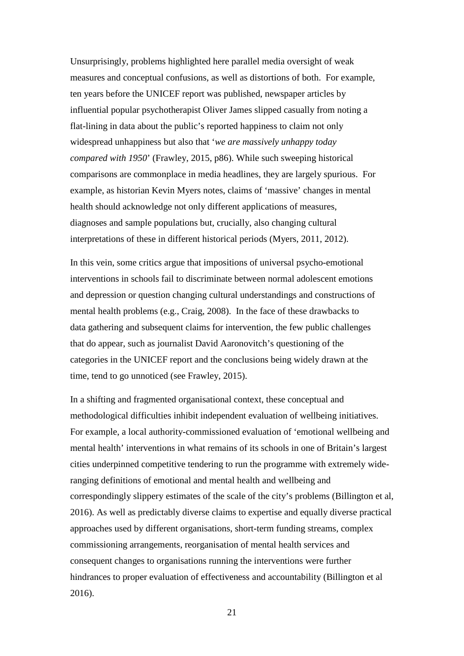Unsurprisingly, problems highlighted here parallel media oversight of weak measures and conceptual confusions, as well as distortions of both. For example, ten years before the UNICEF report was published, newspaper articles by influential popular psychotherapist Oliver James slipped casually from noting a flat-lining in data about the public's reported happiness to claim not only widespread unhappiness but also that '*we are massively unhappy today compared with 1950*' (Frawley, 2015, p86). While such sweeping historical comparisons are commonplace in media headlines, they are largely spurious. For example, as historian Kevin Myers notes, claims of 'massive' changes in mental health should acknowledge not only different applications of measures, diagnoses and sample populations but, crucially, also changing cultural interpretations of these in different historical periods (Myers, 2011, 2012).

In this vein, some critics argue that impositions of universal psycho-emotional interventions in schools fail to discriminate between normal adolescent emotions and depression or question changing cultural understandings and constructions of mental health problems (e.g., Craig, 2008). In the face of these drawbacks to data gathering and subsequent claims for intervention, the few public challenges that do appear, such as journalist David Aaronovitch's questioning of the categories in the UNICEF report and the conclusions being widely drawn at the time, tend to go unnoticed (see Frawley, 2015).

In a shifting and fragmented organisational context, these conceptual and methodological difficulties inhibit independent evaluation of wellbeing initiatives. For example, a local authority-commissioned evaluation of 'emotional wellbeing and mental health' interventions in what remains of its schools in one of Britain's largest cities underpinned competitive tendering to run the programme with extremely wideranging definitions of emotional and mental health and wellbeing and correspondingly slippery estimates of the scale of the city's problems (Billington et al, 2016). As well as predictably diverse claims to expertise and equally diverse practical approaches used by different organisations, short-term funding streams, complex commissioning arrangements, reorganisation of mental health services and consequent changes to organisations running the interventions were further hindrances to proper evaluation of effectiveness and accountability (Billington et al 2016).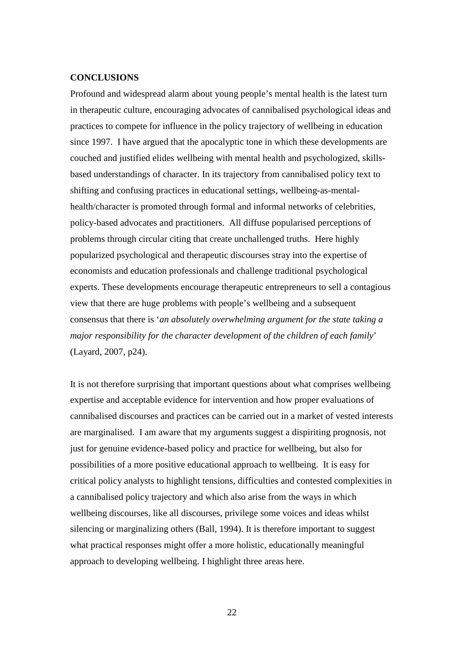#### **CONCLUSIONS**

Profound and widespread alarm about young people's mental health is the latest turn in therapeutic culture, encouraging advocates of cannibalised psychological ideas and practices to compete for influence in the policy trajectory of wellbeing in education since 1997. I have argued that the apocalyptic tone in which these developments are couched and justified elides wellbeing with mental health and psychologized, skillsbased understandings of character. In its trajectory from cannibalised policy text to shifting and confusing practices in educational settings, wellbeing-as-mentalhealth/character is promoted through formal and informal networks of celebrities, policy-based advocates and practitioners. All diffuse popularised perceptions of problems through circular citing that create unchallenged truths. Here highly popularized psychological and therapeutic discourses stray into the expertise of economists and education professionals and challenge traditional psychological experts. These developments encourage therapeutic entrepreneurs to sell a contagious view that there are huge problems with people's wellbeing and a subsequent consensus that there is '*an absolutely overwhelming argument for the state taking a major responsibility for the character development of the children of each family*' (Layard, 2007, p24).

It is not therefore surprising that important questions about what comprises wellbeing expertise and acceptable evidence for intervention and how proper evaluations of cannibalised discourses and practices can be carried out in a market of vested interests are marginalised. I am aware that my arguments suggest a dispiriting prognosis, not just for genuine evidence-based policy and practice for wellbeing, but also for possibilities of a more positive educational approach to wellbeing. It is easy for critical policy analysts to highlight tensions, difficulties and contested complexities in a cannibalised policy trajectory and which also arise from the ways in which wellbeing discourses, like all discourses, privilege some voices and ideas whilst silencing or marginalizing others (Ball, 1994). It is therefore important to suggest what practical responses might offer a more holistic, educationally meaningful approach to developing wellbeing. I highlight three areas here.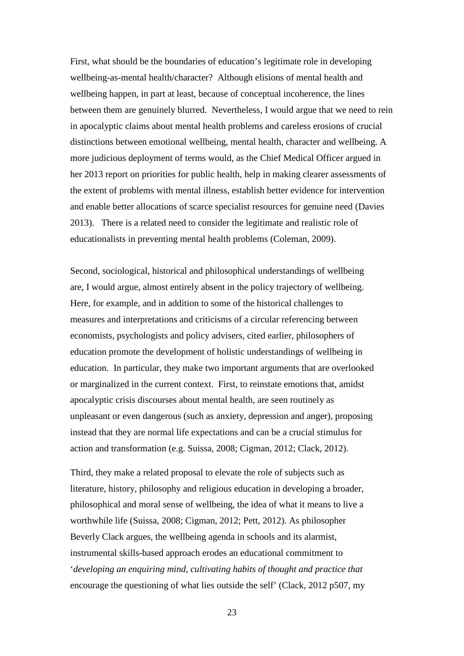First, what should be the boundaries of education's legitimate role in developing wellbeing-as-mental health/character? Although elisions of mental health and wellbeing happen, in part at least, because of conceptual incoherence, the lines between them are genuinely blurred. Nevertheless, I would argue that we need to rein in apocalyptic claims about mental health problems and careless erosions of crucial distinctions between emotional wellbeing, mental health, character and wellbeing. A more judicious deployment of terms would, as the Chief Medical Officer argued in her 2013 report on priorities for public health, help in making clearer assessments of the extent of problems with mental illness, establish better evidence for intervention and enable better allocations of scarce specialist resources for genuine need (Davies 2013). There is a related need to consider the legitimate and realistic role of educationalists in preventing mental health problems (Coleman, 2009).

Second, sociological, historical and philosophical understandings of wellbeing are, I would argue, almost entirely absent in the policy trajectory of wellbeing. Here, for example, and in addition to some of the historical challenges to measures and interpretations and criticisms of a circular referencing between economists, psychologists and policy advisers, cited earlier, philosophers of education promote the development of holistic understandings of wellbeing in education. In particular, they make two important arguments that are overlooked or marginalized in the current context. First, to reinstate emotions that, amidst apocalyptic crisis discourses about mental health, are seen routinely as unpleasant or even dangerous (such as anxiety, depression and anger), proposing instead that they are normal life expectations and can be a crucial stimulus for action and transformation (e.g. Suissa, 2008; Cigman, 2012; Clack, 2012).

Third, they make a related proposal to elevate the role of subjects such as literature, history, philosophy and religious education in developing a broader, philosophical and moral sense of wellbeing, the idea of what it means to live a worthwhile life (Suissa, 2008; Cigman, 2012; Pett, 2012). As philosopher Beverly Clack argues, the wellbeing agenda in schools and its alarmist, instrumental skills-based approach erodes an educational commitment to '*developing an enquiring mind, cultivating habits of thought and practice that*  encourage the questioning of what lies outside the self' (Clack, 2012 p507, my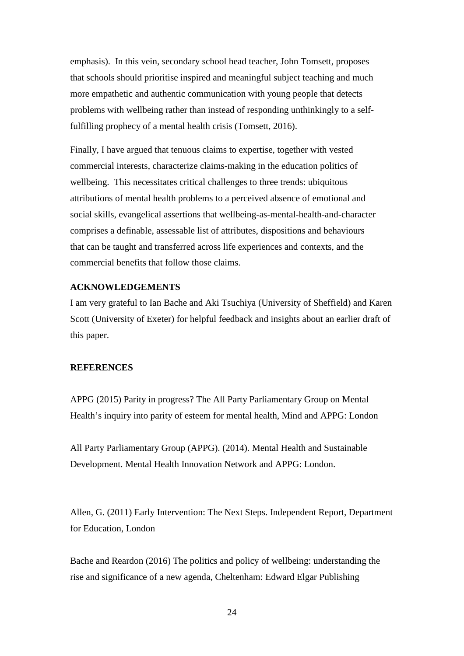emphasis). In this vein, secondary school head teacher, John Tomsett, proposes that schools should prioritise inspired and meaningful subject teaching and much more empathetic and authentic communication with young people that detects problems with wellbeing rather than instead of responding unthinkingly to a selffulfilling prophecy of a mental health crisis (Tomsett, 2016).

Finally, I have argued that tenuous claims to expertise, together with vested commercial interests, characterize claims-making in the education politics of wellbeing. This necessitates critical challenges to three trends: ubiquitous attributions of mental health problems to a perceived absence of emotional and social skills, evangelical assertions that wellbeing-as-mental-health-and-character comprises a definable, assessable list of attributes, dispositions and behaviours that can be taught and transferred across life experiences and contexts, and the commercial benefits that follow those claims.

#### **ACKNOWLEDGEMENTS**

I am very grateful to Ian Bache and Aki Tsuchiya (University of Sheffield) and Karen Scott (University of Exeter) for helpful feedback and insights about an earlier draft of this paper.

#### **REFERENCES**

APPG (2015) Parity in progress? The All Party Parliamentary Group on Mental Health's inquiry into parity of esteem for mental health, Mind and APPG: London

All Party Parliamentary Group (APPG). (2014). Mental Health and Sustainable Development. Mental Health Innovation Network and APPG: London.

Allen, G. (2011) Early Intervention: The Next Steps. Independent Report, Department for Education, London

Bache and Reardon (2016) The politics and policy of wellbeing: understanding the rise and significance of a new agenda, Cheltenham: Edward Elgar Publishing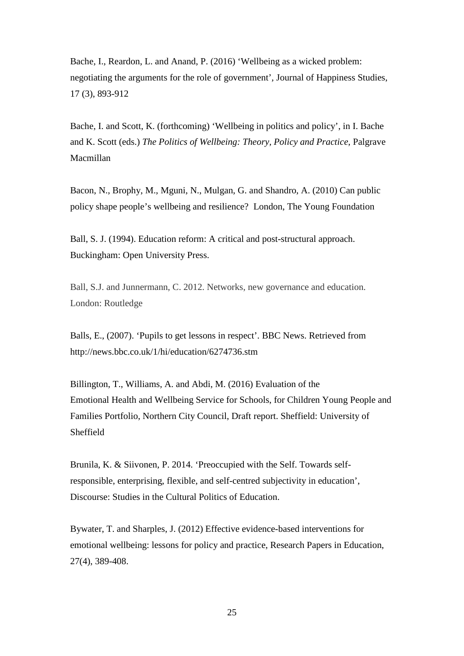Bache, I., Reardon, L. and Anand, P. (2016) 'Wellbeing as a wicked problem: negotiating the arguments for the role of government'*,* Journal of Happiness Studies, 17 (3), 893-912

Bache, I. and Scott, K. (forthcoming) 'Wellbeing in politics and policy', in I. Bache and K. Scott (eds.) *The Politics of Wellbeing: Theory, Policy and Practice*, Palgrave Macmillan

Bacon, N., Brophy, M., Mguni, N., Mulgan, G. and Shandro, A. (2010) Can public policy shape people's wellbeing and resilience? London, The Young Foundation

Ball, S. J. (1994). Education reform: A critical and post-structural approach. Buckingham: Open University Press.

Ball, S.J. and Junnermann, C. 2012. Networks, new governance and education. London: Routledge

Balls, E., (2007). 'Pupils to get lessons in respect'. BBC News. Retrieved from http://news.bbc.co.uk/1/hi/education/6274736.stm

Billington, T., Williams, A. and Abdi, M. (2016) Evaluation of the Emotional Health and Wellbeing Service for Schools, for Children Young People and Families Portfolio, Northern City Council, Draft report. Sheffield: University of Sheffield

Brunila, K. & Siivonen, P. 2014. 'Preoccupied with the Self. Towards selfresponsible, enterprising, flexible, and self-centred subjectivity in education', Discourse: Studies in the Cultural Politics of Education.

Bywater, T. and Sharples, J. (2012) Effective evidence-based interventions for emotional wellbeing: lessons for policy and practice, Research Papers in Education, 27(4), 389-408.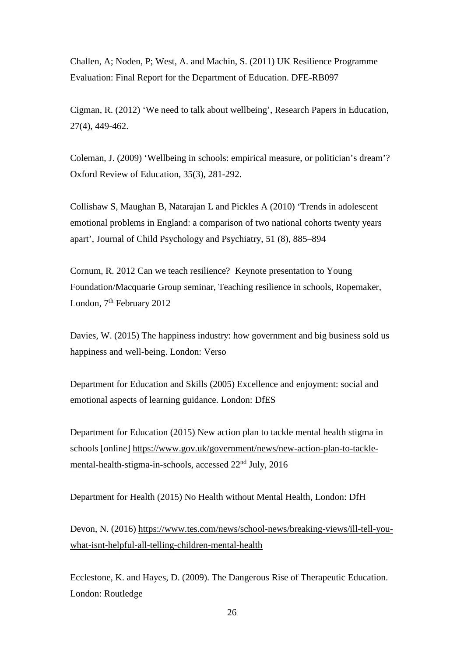Challen, A; Noden, P; West, A. and Machin, S. (2011) UK Resilience Programme Evaluation: Final Report for the Department of Education. DFE-RB097

Cigman, R. (2012) 'We need to talk about wellbeing', Research Papers in Education, 27(4), 449-462.

Coleman, J. (2009) 'Wellbeing in schools: empirical measure, or politician's dream'? Oxford Review of Education, 35(3), 281-292.

Collishaw S, Maughan B, Natarajan L and Pickles A (2010) 'Trends in adolescent emotional problems in England: a comparison of two national cohorts twenty years apart', Journal of Child Psychology and Psychiatry, 51 (8), 885–894

Cornum, R. 2012 Can we teach resilience? Keynote presentation to Young Foundation/Macquarie Group seminar, Teaching resilience in schools, Ropemaker, London, 7<sup>th</sup> February 2012

Davies, W. (2015) The happiness industry: how government and big business sold us happiness and well-being. London: Verso

Department for Education and Skills (2005) Excellence and enjoyment: social and emotional aspects of learning guidance. London: DfES

Department for Education (2015) New action plan to tackle mental health stigma in schools [online] [https://www.gov.uk/government/news/new-action-plan-to-tackle](https://www.gov.uk/government/news/new-action-plan-to-tackle-mental-health-stigma-in-schools)[mental-health-stigma-in-schools,](https://www.gov.uk/government/news/new-action-plan-to-tackle-mental-health-stigma-in-schools) accessed 22nd July, 2016

Department for Health (2015) No Health without Mental Health, London: DfH

Devon, N. (2016) [https://www.tes.com/news/school-news/breaking-views/ill-tell-you](https://www.tes.com/news/school-news/breaking-views/ill-tell-you-what-isnt-helpful-all-telling-children-mental-health)[what-isnt-helpful-all-telling-children-mental-health](https://www.tes.com/news/school-news/breaking-views/ill-tell-you-what-isnt-helpful-all-telling-children-mental-health)

Ecclestone, K. and Hayes, D. (2009). The Dangerous Rise of Therapeutic Education. London: Routledge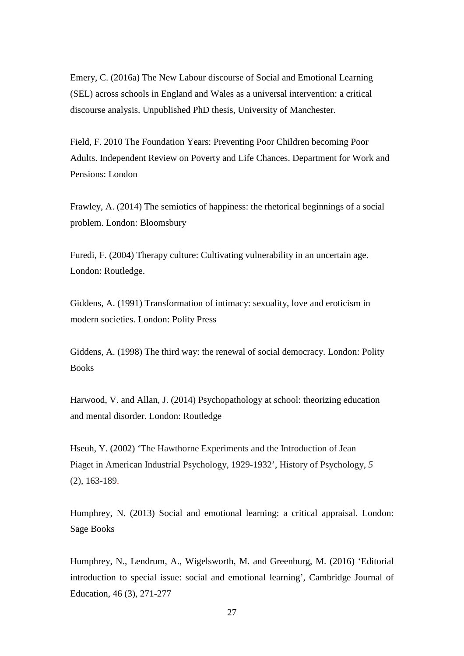Emery, C. (2016a) The New Labour discourse of Social and Emotional Learning (SEL) across schools in England and Wales as a universal intervention: a critical discourse analysis. Unpublished PhD thesis, University of Manchester.

Field, F. 2010 The Foundation Years: Preventing Poor Children becoming Poor Adults. Independent Review on Poverty and Life Chances. Department for Work and Pensions: London

Frawley, A. (2014) The semiotics of happiness: the rhetorical beginnings of a social problem. London: Bloomsbury

Furedi, F. (2004) Therapy culture: Cultivating vulnerability in an uncertain age. London: Routledge.

Giddens, A. (1991) Transformation of intimacy: sexuality, love and eroticism in modern societies. London: Polity Press

Giddens, A. (1998) The third way: the renewal of social democracy. London: Polity Books

Harwood, V. and Allan, J. (2014) Psychopathology at school: theorizing education and mental disorder. London: Routledge

Hseuh, Y. (2002) 'The Hawthorne Experiments and the Introduction of Jean Piaget in American Industrial Psychology, 1929-1932', History of Psychology, *5* (2), 163-189.

Humphrey, N. (2013) Social and emotional learning: a critical appraisal. London: Sage Books

Humphrey, N., Lendrum, A., Wigelsworth, M. and Greenburg, M. (2016) 'Editorial introduction to special issue: social and emotional learning', Cambridge Journal of Education, 46 (3), 271-277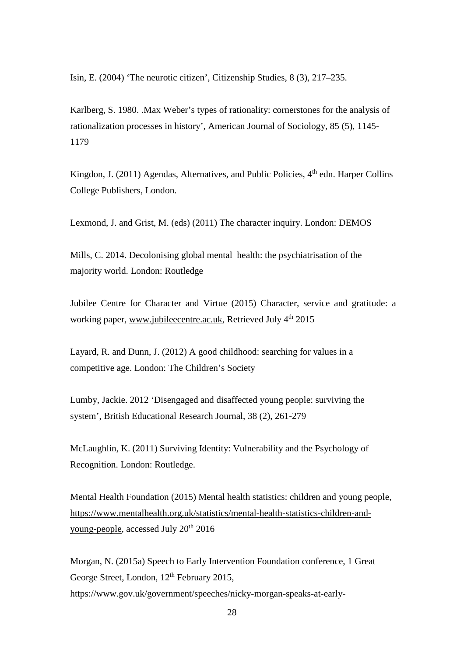Isin, E. (2004) 'The neurotic citizen', Citizenship Studies, 8 (3), 217–235.

Karlberg, S. 1980. .Max Weber's types of rationality: cornerstones for the analysis of rationalization processes in history', American Journal of Sociology, 85 (5), 1145- 1179

Kingdon, J. (2011) Agendas, Alternatives, and Public Policies,  $4<sup>th</sup>$  edn. Harper Collins College Publishers, London.

Lexmond, J. and Grist, M. (eds) (2011) The character inquiry. London: DEMOS

Mills, C. 2014. Decolonising global mental health: the psychiatrisation of the majority world. London: Routledge

Jubilee Centre for Character and Virtue (2015) Character, service and gratitude: a working paper, [www.jubileecentre.ac.uk,](http://www.jubileecentre.ac.uk/) Retrieved July 4<sup>th</sup> 2015

Layard, R. and Dunn, J. (2012) A good childhood: searching for values in a competitive age. London: The Children's Society

Lumby, Jackie. 2012 'Disengaged and disaffected young people: surviving the system', British Educational Research Journal, 38 (2), 261-279

McLaughlin, K. (2011) Surviving Identity: Vulnerability and the Psychology of Recognition. London: Routledge.

Mental Health Foundation (2015) Mental health statistics: children and young people, [https://www.mentalhealth.org.uk/statistics/mental-health-statistics-children-and](https://www.mentalhealth.org.uk/statistics/mental-health-statistics-children-and-young-people)[young-people,](https://www.mentalhealth.org.uk/statistics/mental-health-statistics-children-and-young-people) accessed July 20th 2016

Morgan, N. (2015a) Speech to Early Intervention Foundation conference, 1 Great George Street, London, 12<sup>th</sup> February 2015, [https://www.gov.uk/government/speeches/nicky-morgan-speaks-at-early-](https://www.gov.uk/government/speeches/nicky-morgan-speaks-at-early-intervention-foundation-conference)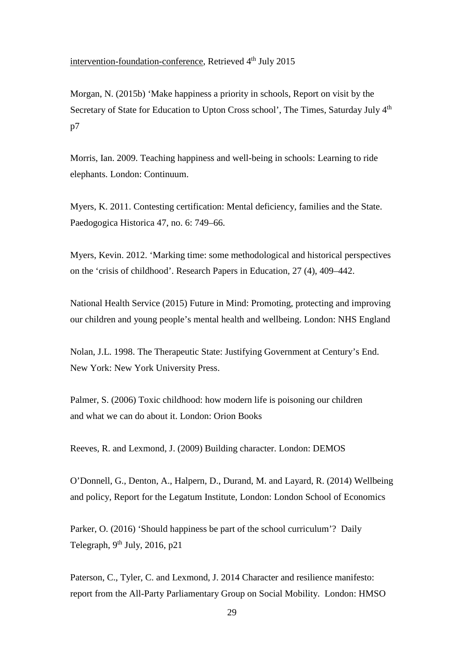[intervention-foundation-conference,](https://www.gov.uk/government/speeches/nicky-morgan-speaks-at-early-intervention-foundation-conference) Retrieved 4<sup>th</sup> July 2015

Morgan, N. (2015b) 'Make happiness a priority in schools, Report on visit by the Secretary of State for Education to Upton Cross school', The Times, Saturday July 4<sup>th</sup> p7

Morris, Ian. 2009. Teaching happiness and well-being in schools: Learning to ride elephants. London: Continuum.

Myers, K. 2011. Contesting certification: Mental deficiency, families and the State. Paedogogica Historica 47, no. 6: 749–66.

Myers, Kevin. 2012. 'Marking time: some methodological and historical perspectives on the 'crisis of childhood'. Research Papers in Education*,* 27 (4), 409–442.

National Health Service (2015) Future in Mind: Promoting, protecting and improving our children and young people's mental health and wellbeing. London: NHS England

Nolan, J.L. 1998. The Therapeutic State: Justifying Government at Century's End. New York: New York University Press.

Palmer, S. (2006) Toxic childhood: how modern life is poisoning our children and what we can do about it. London: Orion Books

Reeves, R. and Lexmond, J. (2009) Building character. London: DEMOS

O'Donnell, G., Denton, A., Halpern, D., Durand, M. and Layard, R. (2014) Wellbeing and policy, Report for the Legatum Institute, London: London School of Economics

Parker, O. (2016) 'Should happiness be part of the school curriculum'? Daily Telegraph,  $9^{th}$  July, 2016, p21

Paterson, C., Tyler, C. and Lexmond, J. 2014 Character and resilience manifesto: report from the All-Party Parliamentary Group on Social Mobility. London: HMSO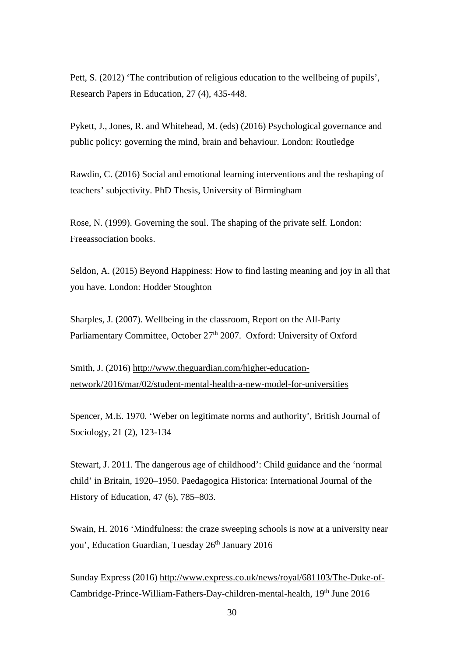Pett, S. (2012) 'The contribution of religious education to the wellbeing of pupils', Research Papers in Education, 27 (4), 435-448.

Pykett, J., Jones, R. and Whitehead, M. (eds) (2016) Psychological governance and public policy: governing the mind, brain and behaviour. London: Routledge

Rawdin, C. (2016) Social and emotional learning interventions and the reshaping of teachers' subjectivity. PhD Thesis, University of Birmingham

Rose, N. (1999). Governing the soul. The shaping of the private self*.* London: Freeassociation books.

Seldon, A. (2015) Beyond Happiness: How to find lasting meaning and joy in all that you have. London: Hodder Stoughton

Sharples, J. (2007). Wellbeing in the classroom, Report on the All-Party Parliamentary Committee, October  $27<sup>th</sup>$  2007. Oxford: University of Oxford

Smith, J. (2016) [http://www.theguardian.com/higher-education](http://www.theguardian.com/higher-education-network/2016/mar/02/student-mental-health-a-new-model-for-universities)[network/2016/mar/02/student-mental-health-a-new-model-for-universities](http://www.theguardian.com/higher-education-network/2016/mar/02/student-mental-health-a-new-model-for-universities)

Spencer, M.E. 1970. 'Weber on legitimate norms and authority', British Journal of Sociology, 21 (2), 123-134

Stewart, J. 2011. The dangerous age of childhood': Child guidance and the 'normal child' in Britain, 1920–1950. Paedagogica Historica: International Journal of the History of Education, 47 (6), 785–803.

Swain, H. 2016 'Mindfulness: the craze sweeping schools is now at a university near you', Education Guardian, Tuesday 26<sup>th</sup> January 2016

Sunday Express (2016) [http://www.express.co.uk/news/royal/681103/The-Duke-of-](http://www.express.co.uk/news/royal/681103/The-Duke-of-Cambridge-Prince-William-Fathers-Day-children-mental-health)[Cambridge-Prince-William-Fathers-Day-children-mental-health,](http://www.express.co.uk/news/royal/681103/The-Duke-of-Cambridge-Prince-William-Fathers-Day-children-mental-health) 19<sup>th</sup> June 2016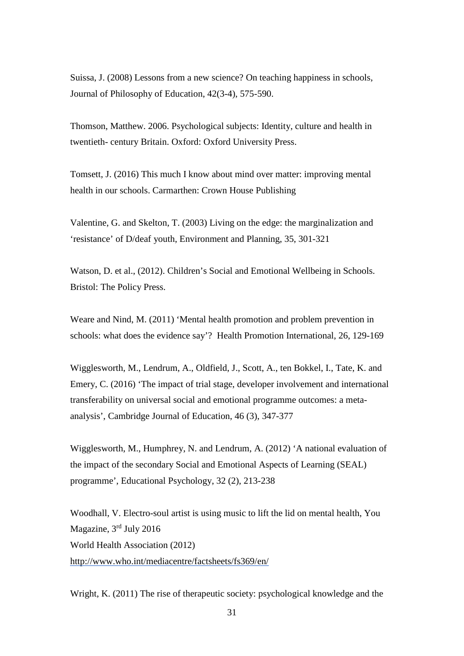Suissa, J. (2008) Lessons from a new science? On teaching happiness in schools, Journal of Philosophy of Education, 42(3-4), 575-590.

Thomson, Matthew. 2006. Psychological subjects: Identity, culture and health in twentieth- century Britain. Oxford: Oxford University Press.

Tomsett, J. (2016) This much I know about mind over matter: improving mental health in our schools. Carmarthen: Crown House Publishing

Valentine, G. and Skelton, T. (2003) Living on the edge: the marginalization and 'resistance' of D/deaf youth, Environment and Planning, 35, 301-321

Watson, D. et al., (2012). Children's Social and Emotional Wellbeing in Schools. Bristol: The Policy Press.

Weare and Nind, M. (2011) 'Mental health promotion and problem prevention in schools: what does the evidence say'? Health Promotion International, 26, 129-169

Wigglesworth, M., Lendrum, A., Oldfield, J., Scott, A., ten Bokkel, I., Tate, K. and Emery, C. (2016) 'The impact of trial stage, developer involvement and international transferability on universal social and emotional programme outcomes: a metaanalysis', Cambridge Journal of Education, 46 (3), 347-377

Wigglesworth, M., Humphrey, N. and Lendrum, A. (2012) 'A national evaluation of the impact of the secondary Social and Emotional Aspects of Learning (SEAL) programme', Educational Psychology, 32 (2), 213-238

Woodhall, V. Electro-soul artist is using music to lift the lid on mental health, You Magazine, 3rd July 2016 World Health Association (2012) <http://www.who.int/mediacentre/factsheets/fs369/en/>

Wright, K. (2011) The rise of therapeutic society: psychological knowledge and the